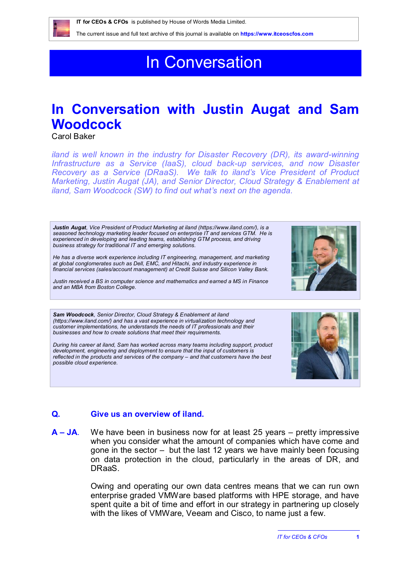# In Conversation

## **In Conversation with Justin Augat and Sam Woodcock**

Carol Baker

*iland is well known in the industry for Disaster Recovery (DR), its award-winning Infrastructure as a Service (IaaS), cloud back-up services, and now Disaster Recovery as a Service (DRaaS). We talk to iland's Vice President of Product Marketing, Justin Augat (JA), and Senior Director, Cloud Strategy & Enablement at iland, Sam Woodcock (SW) to find out what's next on the agenda.*

*Justin Augat, Vice President of Product Marketing at iland [\(https://www.iland.com/\)](https://www.iland.com/), is a seasoned technology marketing leader focused on enterprise IT and services GTM. He is experienced in developing and leading teams, establishing GTM process, and driving business strategy for traditional IT and emerging solutions.*

*He has a diverse work experience including IT engineering, management, and marketing at global conglomerates such as Dell, EMC, and Hitachi, and industry experience in financial services (sales/account management) at Credit Suisse and Silicon Valley Bank.* 

*Justin received a BS in computer science and mathematics and earned a MS in Finance and an MBA from Boston College.*

*Sam Woodcock, Senior Director, Cloud Strategy & Enablement at iland [\(https://www.iland.com/\)](https://www.iland.com/) and has a vast experience in virtualization technology and customer implementations, he understands the needs of IT professionals and their businesses and how to create solutions that meet their requirements.* 

*During his career at iland, Sam has worked across many teams including support, product development, engineering and deployment to ensure that the input of customers is reflected in the products and services of the company – and that customers have the best possible cloud experience.*

### **Q. Give us an overview of iland.**

**A – JA**. We have been in business now for at least 25 years – pretty impressive when you consider what the amount of companies which have come and gone in the sector – but the last 12 years we have mainly been focusing on data protection in the cloud, particularly in the areas of DR, and DRaaS.

> Owing and operating our own data centres means that we can run own enterprise graded VMWare based platforms with HPE storage, and have spent quite a bit of time and effort in our strategy in partnering up closely with the likes of VMWare, Veeam and Cisco, to name just a few.







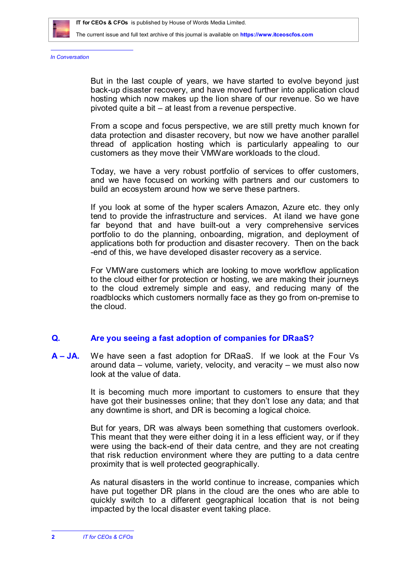

*In Conversation*

But in the last couple of years, we have started to evolve beyond just back-up disaster recovery, and have moved further into application cloud hosting which now makes up the lion share of our revenue. So we have pivoted quite a bit – at least from a revenue perspective.

From a scope and focus perspective, we are still pretty much known for data protection and disaster recovery, but now we have another parallel thread of application hosting which is particularly appealing to our customers as they move their VMWare workloads to the cloud.

Today, we have a very robust portfolio of services to offer customers, and we have focused on working with partners and our customers to build an ecosystem around how we serve these partners.

If you look at some of the hyper scalers Amazon, Azure etc. they only tend to provide the infrastructure and services. At iland we have gone far beyond that and have built-out a very comprehensive services portfolio to do the planning, onboarding, migration, and deployment of applications both for production and disaster recovery. Then on the back -end of this, we have developed disaster recovery as a service.

For VMWare customers which are looking to move workflow application to the cloud either for protection or hosting, we are making their journeys to the cloud extremely simple and easy, and reducing many of the roadblocks which customers normally face as they go from on-premise to the cloud.

#### **Q. Are you seeing a fast adoption of companies for DRaaS?**

**A – JA.** We have seen a fast adoption for DRaaS. If we look at the Four Vs around data – volume, variety, velocity, and veracity – we must also now look at the value of data.

> It is becoming much more important to customers to ensure that they have got their businesses online; that they don't lose any data; and that any downtime is short, and DR is becoming a logical choice.

> But for years, DR was always been something that customers overlook. This meant that they were either doing it in a less efficient way, or if they were using the back-end of their data centre, and they are not creating that risk reduction environment where they are putting to a data centre proximity that is well protected geographically.

> As natural disasters in the world continue to increase, companies which have put together DR plans in the cloud are the ones who are able to quickly switch to a different geographical location that is not being impacted by the local disaster event taking place.

**2** *IT for CEOs & CFOs*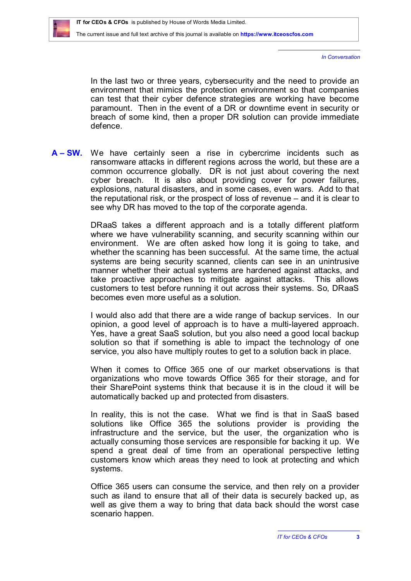*In Conversation*

In the last two or three years, cybersecurity and the need to provide an environment that mimics the protection environment so that companies can test that their cyber defence strategies are working have become paramount. Then in the event of a DR or downtime event in security or breach of some kind, then a proper DR solution can provide immediate defence.

**A – SW.** We have certainly seen a rise in cybercrime incidents such as ransomware attacks in different regions across the world, but these are a common occurrence globally. DR is not just about covering the next cyber breach. It is also about providing cover for power failures, explosions, natural disasters, and in some cases, even wars. Add to that the reputational risk, or the prospect of loss of revenue – and it is clear to see why DR has moved to the top of the corporate agenda.

> DRaaS takes a different approach and is a totally different platform where we have vulnerability scanning, and security scanning within our environment. We are often asked how long it is going to take, and whether the scanning has been successful. At the same time, the actual systems are being security scanned, clients can see in an unintrusive manner whether their actual systems are hardened against attacks, and take proactive approaches to mitigate against attacks. This allows customers to test before running it out across their systems. So, DRaaS becomes even more useful as a solution.

> I would also add that there are a wide range of backup services. In our opinion, a good level of approach is to have a multi-layered approach. Yes, have a great SaaS solution, but you also need a good local backup solution so that if something is able to impact the technology of one service, you also have multiply routes to get to a solution back in place.

> When it comes to Office 365 one of our market observations is that organizations who move towards Office 365 for their storage, and for their SharePoint systems think that because it is in the cloud it will be automatically backed up and protected from disasters.

> In reality, this is not the case. What we find is that in SaaS based solutions like Office 365 the solutions provider is providing the infrastructure and the service, but the user, the organization who is actually consuming those services are responsible for backing it up. We spend a great deal of time from an operational perspective letting customers know which areas they need to look at protecting and which systems.

> Office 365 users can consume the service, and then rely on a provider such as iland to ensure that all of their data is securely backed up, as well as give them a way to bring that data back should the worst case scenario happen.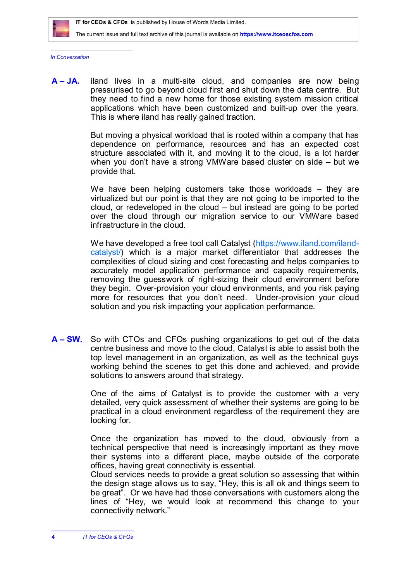

*In Conversation*

**A – JA.** iland lives in a multi-site cloud, and companies are now being pressurised to go beyond cloud first and shut down the data centre. But they need to find a new home for those existing system mission critical applications which have been customized and built-up over the years. This is where iland has really gained traction.

> But moving a physical workload that is rooted within a company that has dependence on performance, resources and has an expected cost structure associated with it, and moving it to the cloud, is a lot harder when you don't have a strong VMWare based cluster on side – but we provide that.

> We have been helping customers take those workloads – they are virtualized but our point is that they are not going to be imported to the cloud, or redeveloped in the cloud – but instead are going to be ported over the cloud through our migration service to our VMWare based infrastructure in the cloud.

> [We have developed a free tool call Catalyst \(https://www.iland.com/iland](https://www.iland.com/ilandcatalyst/)catalyst/) which is a major market differentiator that addresses the complexities of cloud sizing and cost forecasting and helps companies to accurately model application performance and capacity requirements, removing the guesswork of right-sizing their cloud environment before they begin. Over-provision your cloud environments, and you risk paying more for resources that you don't need. Under-provision your cloud solution and you risk impacting your application performance.

**A – SW.** So with CTOs and CFOs pushing organizations to get out of the data centre business and move to the cloud, Catalyst is able to assist both the top level management in an organization, as well as the technical guys working behind the scenes to get this done and achieved, and provide solutions to answers around that strategy.

> One of the aims of Catalyst is to provide the customer with a very detailed, very quick assessment of whether their systems are going to be practical in a cloud environment regardless of the requirement they are looking for.

> Once the organization has moved to the cloud, obviously from a technical perspective that need is increasingly important as they move their systems into a different place, maybe outside of the corporate offices, having great connectivity is essential.

> Cloud services needs to provide a great solution so assessing that within the design stage allows us to say, "Hey, this is all ok and things seem to be great". Or we have had those conversations with customers along the lines of "Hey, we would look at recommend this change to your connectivity network."

**4** *IT for CEOs & CFOs*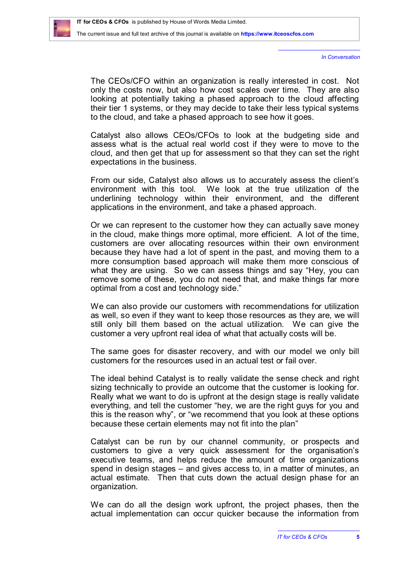*In Conversation*

The CEOs/CFO within an organization is really interested in cost. Not only the costs now, but also how cost scales over time. They are also looking at potentially taking a phased approach to the cloud affecting their tier 1 systems, or they may decide to take their less typical systems to the cloud, and take a phased approach to see how it goes.

Catalyst also allows CEOs/CFOs to look at the budgeting side and assess what is the actual real world cost if they were to move to the cloud, and then get that up for assessment so that they can set the right expectations in the business.

From our side, Catalyst also allows us to accurately assess the client's environment with this tool. We look at the true utilization of the underlining technology within their environment, and the different applications in the environment, and take a phased approach.

Or we can represent to the customer how they can actually save money in the cloud, make things more optimal, more efficient. A lot of the time, customers are over allocating resources within their own environment because they have had a lot of spent in the past, and moving them to a more consumption based approach will make them more conscious of what they are using. So we can assess things and say "Hey, you can remove some of these, you do not need that, and make things far more optimal from a cost and technology side."

We can also provide our customers with recommendations for utilization as well, so even if they want to keep those resources as they are, we will still only bill them based on the actual utilization. We can give the customer a very upfront real idea of what that actually costs will be.

The same goes for disaster recovery, and with our model we only bill customers for the resources used in an actual test or fail over.

The ideal behind Catalyst is to really validate the sense check and right sizing technically to provide an outcome that the customer is looking for. Really what we want to do is upfront at the design stage is really validate everything, and tell the customer "hey, we are the right guys for you and this is the reason why", or "we recommend that you look at these options because these certain elements may not fit into the plan"

Catalyst can be run by our channel community, or prospects and customers to give a very quick assessment for the organisation's executive teams, and helps reduce the amount of time organizations spend in design stages – and gives access to, in a matter of minutes, an actual estimate. Then that cuts down the actual design phase for an organization.

We can do all the design work upfront, the project phases, then the actual implementation can occur quicker because the information from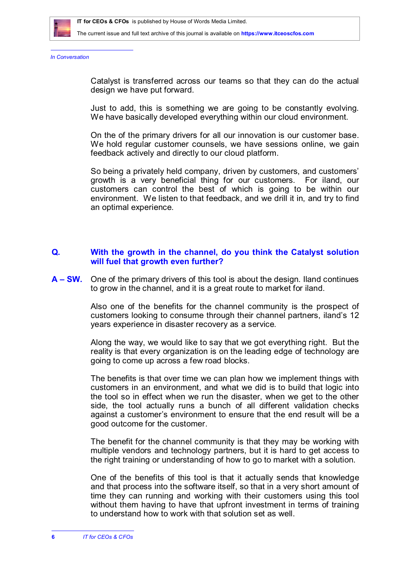

*In Conversation*

Catalyst is transferred across our teams so that they can do the actual design we have put forward.

Just to add, this is something we are going to be constantly evolving. We have basically developed everything within our cloud environment.

On the of the primary drivers for all our innovation is our customer base. We hold regular customer counsels, we have sessions online, we gain feedback actively and directly to our cloud platform.

So being a privately held company, driven by customers, and customers' growth is a very beneficial thing for our customers. For iland, our customers can control the best of which is going to be within our environment. We listen to that feedback, and we drill it in, and try to find an optimal experience.

#### **Q. With the growth in the channel, do you think the Catalyst solution will fuel that growth even further?**

**A – SW.** One of the primary drivers of this tool is about the design. Iland continues to grow in the channel, and it is a great route to market for iland.

> Also one of the benefits for the channel community is the prospect of customers looking to consume through their channel partners, iland's 12 years experience in disaster recovery as a service.

> Along the way, we would like to say that we got everything right. But the reality is that every organization is on the leading edge of technology are going to come up across a few road blocks.

> The benefits is that over time we can plan how we implement things with customers in an environment, and what we did is to build that logic into the tool so in effect when we run the disaster, when we get to the other side, the tool actually runs a bunch of all different validation checks against a customer's environment to ensure that the end result will be a good outcome for the customer.

> The benefit for the channel community is that they may be working with multiple vendors and technology partners, but it is hard to get access to the right training or understanding of how to go to market with a solution.

> One of the benefits of this tool is that it actually sends that knowledge and that process into the software itself, so that in a very short amount of time they can running and working with their customers using this tool without them having to have that upfront investment in terms of training to understand how to work with that solution set as well.

**<sup>6</sup>** *IT for CEOs & CFOs*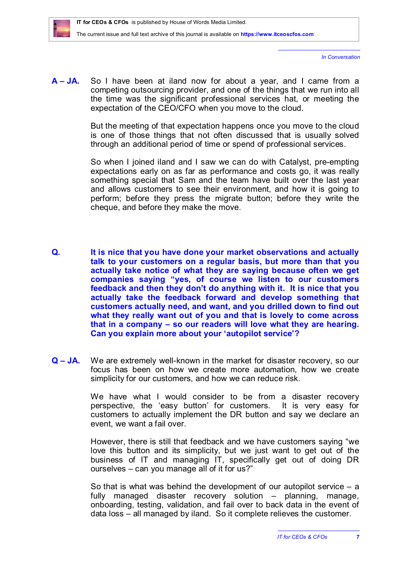

*In Conversation*

**A – JA.** So I have been at iland now for about a year, and I came from a competing outsourcing provider, and one of the things that we run into all the time was the significant professional services hat, or meeting the expectation of the CEO/CFO when you move to the cloud.

> But the meeting of that expectation happens once you move to the cloud is one of those things that not often discussed that is usually solved through an additional period of time or spend of professional services.

> So when I joined iland and I saw we can do with Catalyst, pre-empting expectations early on as far as performance and costs go, it was really something special that Sam and the team have built over the last year and allows customers to see their environment, and how it is going to perform; before they press the migrate button; before they write the cheque, and before they make the move.

- **Q. It is nice that you have done your market observations and actually talk to your customers on a regular basis, but more than that you actually take notice of what they are saying because often we get companies saying "yes, of course we listen to our customers feedback and then they don't do anything with it. It is nice that you actually take the feedback forward and develop something that customers actually need, and want, and you drilled down to find out what they really want out of you and that is lovely to come across that in a company – so our readers will love what they are hearing. Can you explain more about your 'autopilot service'?**
- **Q – JA.** We are extremely well-known in the market for disaster recovery, so our focus has been on how we create more automation, how we create simplicity for our customers, and how we can reduce risk.

We have what I would consider to be from a disaster recovery perspective, the 'easy button' for customers. It is very easy for customers to actually implement the DR button and say we declare an event, we want a fail over.

However, there is still that feedback and we have customers saying "we love this button and its simplicity, but we just want to get out of the business of IT and managing IT, specifically get out of doing DR ourselves – can you manage all of it for us?"

So that is what was behind the development of our autopilot service – a fully managed disaster recovery solution – planning, manage, onboarding, testing, validation, and fail over to back data in the event of data loss – all managed by iland. So it complete relieves the customer.